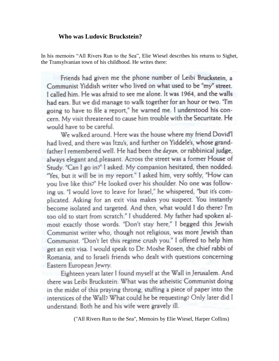## **Who was Ludovic Bruckstein?**

In his memoirs "All Rivers Run to the Sea", Elie Wiesel describes his returns to Sighet, the Transylvanian town of his childhood. He writes there:

Friends had given me the phone number of Leibi Bruckstein, a Communist Yiddish writer who lived on what used to be "my" street. I called him. He was afraid to see me alone. It was 1964, and the walls had ears. But we did manage to walk together for an hour or two. "I'm going to have to file a report," he warned me. I understood his concern. My visit threatened to cause him trouble with the Securitate. He would have to be careful.

We walked around. Here was the house where my friend Dovid'l had lived, and there was Itzu's, and further on Yiddele's, whose grandfather I remembered well. He had been the *dayan*, or rabbinical judge, always elegant and pleasant. Across the street was a former House of Study. "Can I go in?" I asked. My companion hesitated, then nodded: "Yes, but it will be in my report." I asked him, very softly, "How can you live like this?" He looked over his shoulder. No one was following us. "I would love to leave for Israel," he whispered, "but it's complicated. Asking for an exit visa makes you suspect. You instantly become isolated and targeted. And then, what would I do there? I'm too old to start from scratch." I shuddered. My father had spoken almost exactly those words. "Don't stay here," I begged this Jewish Communist writer who, though not religious, was more Jewish than Communist. "Don't let this regime crush you." I offered to help him get an exit visa. I would speak to Dr. Moshe Rosen, the chief rabbi of Romania, and to Israeli friends who dealt with questions concerning Eastern European Jewry.

Eighteen years later I found myself at the Wall in Jerusalem. And there was Leibi Bruckstein. What was the atheistic Communist doing in the midst of this praying throng, stuffing a piece of paper into the interstices of the Wall? What could he be requesting? Only later did I understand: Both he and his wife were gravely ill.

("All Rivers Run to the Sea", Memoirs by Elie Wiesel, Harper Collins)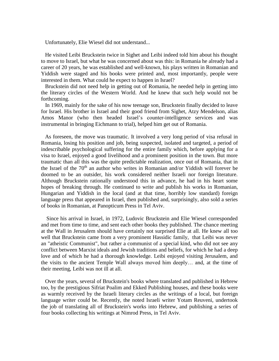Unfortunately, Elie Wiesel did not understand...

 He visited Leibi Bruckstein twice in Sighet and Leibi indeed told him about his thought to move to Israel, but what he was concerned about was this: in Romania he already had a career of 20 years, he was established and well-known, his plays written in Romanian and Yiddish were staged and his books were printed and, most importantly, people were interested in them. What could he expect to happen in Israel?

 Bruckstein did not need help in getting out of Romania, he needed help in getting into the literary circles of the Western World. And he knew that such help would not be forthcoming.

 In 1969, mainly for the sake of his now teenage son, Bruckstein finally decided to leave for Israel. His brother in Israel and their good friend from Sighet, Atzy Mendelson, alias Amos Manor (who then headed Israel's counter-intelligence services and was instrumental in bringing Eichmann to trial), helped him get out of Romania.

 As foreseen, the move was traumatic. It involved a very long period of visa refusal in Romania, losing his position and job, being suspected, isolated and targeted, a period of indescribable psychological suffering for the entire family which, before applying for a visa to Israel, enjoyed a good livelihood and a prominent position in the town. But more traumatic than all this was the quite predictable realization, once out of Romania, that in the Israel of the  $70<sup>th</sup>$  an author who writes in Romanian and/or Yiddish will forever be doomed to be an outsider, his work considered neither Israeli nor foreign literature. Although Bruckstein rationally understood this in advance, he had in his heart some hopes of breaking through. He continued to write and publish his works in Romanian, Hungarian and Yiddish in the local (and at that time, horribly low standard) foreign language press that appeared in Israel, then published and, surprisingly, also sold a series of books in Romanian, at Panopticum Press in Tel Aviv.

 Since his arrival in Israel, in 1972, Ludovic Bruckstein and Elie Wiesel corresponded and met from time to time, and sent each other books they published. The chance meeting at the Wall in Jerusalem should have certainly not surprised Elie at all. He knew all too well that Bruckstein came from a very prominent Hassidic family, that Leibi was never an "atheistic Communist", but rather a communist of a special kind, who did not see any conflict between Marxist ideals and Jewish traditions and beliefs, for which he had a deep love and of which he had a thorough knowledge. Leibi enjoyed visiting Jerusalem, and the visits to the ancient Temple Wall always moved him deeply… and, at the time of their meeting, Leibi was not ill at all.

 Over the years, several of Bruckstein's books where translated and published in Hebrew too, by the prestigious Sifriat Poalim and Ekked Publishing houses, and these books were as warmly received by the Israeli literary circles as the writings of a local, but foreign language writer could be. Recently, the noted Israeli writer Yotam Reuveni, undertook the job of translating all of Bruckstein's works into Hebrew, and publishing a series of four books collecting his writings at Nimrod Press, in Tel Aviv.